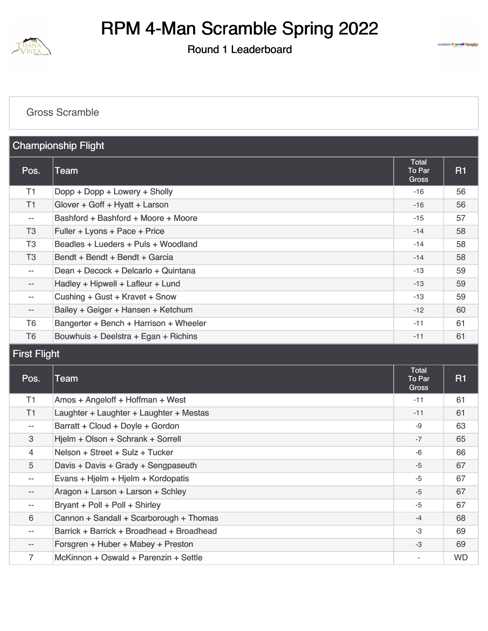

#### Round 1 Leaderboard



#### [Gross Scramble](https://static.golfgenius.com/v2tournaments/8442290945784859214?called_from=&round_index=1)

| <b>Championship Flight</b>  |                                        |                                 |                |
|-----------------------------|----------------------------------------|---------------------------------|----------------|
| Pos.                        | Team                                   | Total<br>To Par<br><b>Gross</b> | R <sub>1</sub> |
| T1                          | Dopp + Dopp + Lowery + Sholly          | $-16$                           | 56             |
| T1                          | Glover + Goff + Hyatt + Larson         | $-16$                           | 56             |
| $\mathcal{L}_{\mathcal{F}}$ | Bashford + Bashford + Moore + Moore    | $-15$                           | 57             |
| T <sub>3</sub>              | Fuller + Lyons + Pace + Price          | $-14$                           | 58             |
| T <sub>3</sub>              | Beadles + Lueders + Puls + Woodland    | $-14$                           | 58             |
| T <sub>3</sub>              | Bendt + Bendt + Bendt + Garcia         | $-14$                           | 58             |
| $\overline{\phantom{a}}$    | Dean + Decock + Delcarlo + Quintana    | $-13$                           | 59             |
| $\overline{\phantom{a}}$    | Hadley + Hipwell + Lafleur + Lund      | $-13$                           | 59             |
| $\overline{\phantom{a}}$    | Cushing + Gust + Kravet + Snow         | $-13$                           | 59             |
| $-\,-$                      | Bailey + Geiger + Hansen + Ketchum     | $-12$                           | 60             |
| T <sub>6</sub>              | Bangerter + Bench + Harrison + Wheeler | $-11$                           | 61             |
| T6                          | Bouwhuis + Deelstra + Egan + Richins   | $-11$                           | 61             |

### First Flight

| Pos.              | Team                                      | <b>Total</b><br>To Par<br>Gross | <b>R1</b> |
|-------------------|-------------------------------------------|---------------------------------|-----------|
| T1                | Amos + Angeloff + Hoffman + West          | $-11$                           | 61        |
| T1                | Laughter + Laughter + Laughter + Mestas   | $-11$                           | 61        |
| $- -$             | Barratt + Cloud + Doyle + Gordon          | -9                              | 63        |
| 3                 | Hjelm + Olson + Schrank + Sorrell         | $-7$                            | 65        |
| $\overline{4}$    | Nelson + Street + Sulz + Tucker           | -6                              | 66        |
| 5                 | Davis + Davis + Grady + Sengpaseuth       | $-5$                            | 67        |
| $- -$             | Evans + Hjelm + Hjelm + Kordopatis        | $-5$                            | 67        |
| $\qquad \qquad -$ | Aragon + Larson + Larson + Schley         | $-5$                            | 67        |
| $- -$             | Bryant + Poll + Poll + Shirley            | $-5$                            | 67        |
| 6                 | Cannon + Sandall + Scarborough + Thomas   | $-4$                            | 68        |
| $- -$             | Barrick + Barrick + Broadhead + Broadhead | $-3$                            | 69        |
| $\qquad \qquad -$ | Forsgren + Huber + Mabey + Preston        | $-3$                            | 69        |
| 7                 | McKinnon + Oswald + Parenzin + Settle     |                                 | <b>WD</b> |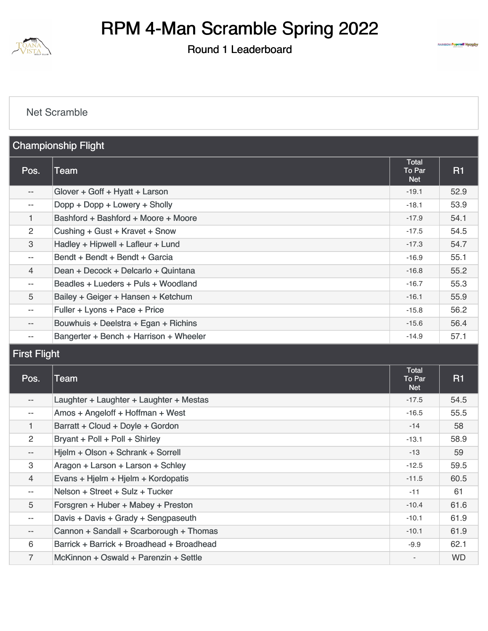

#### Round 1 Leaderboard



#### [Net Scramble](https://static.golfgenius.com/v2tournaments/8442290959273740879?called_from=&round_index=1)

| <b>Championship Flight</b> |                                        |                                      |      |
|----------------------------|----------------------------------------|--------------------------------------|------|
| Pos.                       | Team                                   | <b>Total</b><br>To Par<br><b>Net</b> | R1   |
| $\overline{\phantom{a}}$   | Glover + Goff + Hyatt + Larson         | $-19.1$                              | 52.9 |
| $- -$                      | Dopp + Dopp + Lowery + Sholly          | $-18.1$                              | 53.9 |
| 1                          | Bashford + Bashford + Moore + Moore    | $-17.9$                              | 54.1 |
| 2                          | Cushing + Gust + Kravet + Snow         | $-17.5$                              | 54.5 |
| 3                          | Hadley + Hipwell + Lafleur + Lund      | $-17.3$                              | 54.7 |
| $- -$                      | Bendt + Bendt + Bendt + Garcia         | $-16.9$                              | 55.1 |
| $\overline{4}$             | Dean + Decock + Delcarlo + Quintana    | $-16.8$                              | 55.2 |
| $- -$                      | Beadles + Lueders + Puls + Woodland    | $-16.7$                              | 55.3 |
| 5                          | Bailey + Geiger + Hansen + Ketchum     | $-16.1$                              | 55.9 |
| $- -$                      | Fuller + Lyons + Pace + Price          | $-15.8$                              | 56.2 |
| $- -$                      | Bouwhuis + Deelstra + Egan + Richins   | $-15.6$                              | 56.4 |
| $- -$                      | Bangerter + Bench + Harrison + Wheeler | $-14.9$                              | 57.1 |

### First Flight

| Pos.              | Team                                      | <b>Total</b><br>To Par<br><b>Net</b> | <b>R1</b> |
|-------------------|-------------------------------------------|--------------------------------------|-----------|
| $\qquad \qquad -$ | Laughter + Laughter + Laughter + Mestas   | $-17.5$                              | 54.5      |
| $- -$             | Amos + Angeloff + Hoffman + West          | $-16.5$                              | 55.5      |
| 1.                | Barratt + Cloud + Doyle + Gordon          | $-14$                                | 58        |
| $\overline{2}$    | Bryant + Poll + Poll + Shirley            | $-13.1$                              | 58.9      |
| $-\,-$            | Hjelm + Olson + Schrank + Sorrell         | $-13$                                | 59        |
| 3                 | Aragon + Larson + Larson + Schley         | $-12.5$                              | 59.5      |
| $\overline{4}$    | Evans + Hjelm + Hjelm + Kordopatis        | $-11.5$                              | 60.5      |
| $- -$             | Nelson + Street + Sulz + Tucker           | $-11$                                | 61        |
| 5                 | Forsgren + Huber + Mabey + Preston        | $-10.4$                              | 61.6      |
| $- -$             | Davis + Davis + Grady + Sengpaseuth       | $-10.1$                              | 61.9      |
| $- -$             | Cannon + Sandall + Scarborough + Thomas   | $-10.1$                              | 61.9      |
| 6                 | Barrick + Barrick + Broadhead + Broadhead | $-9.9$                               | 62.1      |
| $\overline{7}$    | McKinnon + Oswald + Parenzin + Settle     |                                      | <b>WD</b> |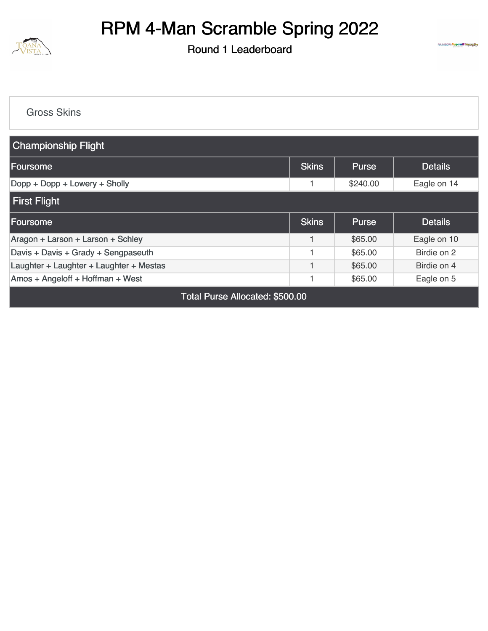

Round 1 Leaderboard



[Gross Skins](https://static.golfgenius.com/v2tournaments/8433937500547893823?called_from=&round_index=1)

| <b>Championship Flight</b>              |              |              |                |  |
|-----------------------------------------|--------------|--------------|----------------|--|
| <b>Foursome</b>                         | <b>Skins</b> | <b>Purse</b> | <b>Details</b> |  |
| Dopp + Dopp + Lowery + Sholly           |              | \$240.00     | Eagle on 14    |  |
| First Flight                            |              |              |                |  |
| <b>Foursome</b>                         | <b>Skins</b> | <b>Purse</b> | <b>Details</b> |  |
| Aragon + Larson + Larson + Schley       |              | \$65.00      | Eagle on 10    |  |
| Davis + Davis + Grady + Sengpaseuth     |              | \$65.00      | Birdie on 2    |  |
| Laughter + Laughter + Laughter + Mestas |              | \$65.00      | Birdie on 4    |  |
| Amos + Angeloff + Hoffman + West        |              | \$65.00      | Eagle on 5     |  |

Total Purse Allocated: \$500.00